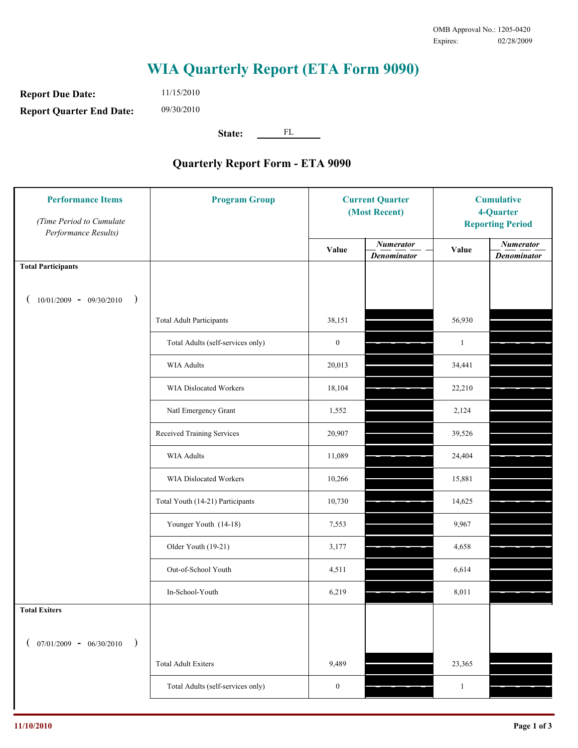## **WIA Quarterly Report (ETA Form 9090)**

**Report Due Date: Report Quarter End Date:**

11/15/2010 09/30/2010

**State:** FL

## **Quarterly Report Form - ETA 9090**

| <b>Performance Items</b><br>(Time Period to Cumulate<br>Performance Results) | <b>Program Group</b>              | <b>Current Quarter</b><br>(Most Recent) |                                        | <b>Cumulative</b><br>4-Quarter<br><b>Reporting Period</b> |                                        |
|------------------------------------------------------------------------------|-----------------------------------|-----------------------------------------|----------------------------------------|-----------------------------------------------------------|----------------------------------------|
|                                                                              |                                   | Value                                   | <b>Numerator</b><br><b>Denominator</b> | Value                                                     | <b>Numerator</b><br><b>Denominator</b> |
| <b>Total Participants</b>                                                    |                                   |                                         |                                        |                                                           |                                        |
| $10/01/2009 - 09/30/2010$<br>$\lambda$                                       |                                   |                                         |                                        |                                                           |                                        |
|                                                                              | <b>Total Adult Participants</b>   | 38,151                                  |                                        | 56,930                                                    |                                        |
|                                                                              | Total Adults (self-services only) | $\boldsymbol{0}$                        |                                        | $\mathbf{1}$                                              |                                        |
|                                                                              | WIA Adults                        | 20,013                                  |                                        | 34,441                                                    |                                        |
|                                                                              | WIA Dislocated Workers            | 18,104                                  |                                        | 22,210                                                    |                                        |
|                                                                              | Natl Emergency Grant              | 1,552                                   |                                        | 2,124                                                     |                                        |
|                                                                              | Received Training Services        | 20,907                                  |                                        | 39,526                                                    |                                        |
|                                                                              | <b>WIA Adults</b>                 | 11,089                                  |                                        | 24,404                                                    |                                        |
|                                                                              | WIA Dislocated Workers            | 10,266                                  |                                        | 15,881                                                    |                                        |
|                                                                              | Total Youth (14-21) Participants  | 10,730                                  |                                        | 14,625                                                    |                                        |
|                                                                              | Younger Youth (14-18)             | 7,553                                   |                                        | 9,967                                                     |                                        |
|                                                                              | Older Youth (19-21)               | 3,177                                   |                                        | 4,658                                                     |                                        |
|                                                                              | Out-of-School Youth               | 4,511                                   |                                        | 6,614                                                     |                                        |
|                                                                              | In-School-Youth                   | 6,219                                   |                                        | 8,011                                                     |                                        |
| <b>Total Exiters</b>                                                         |                                   |                                         |                                        |                                                           |                                        |
| $07/01/2009 - 06/30/2010$                                                    |                                   |                                         |                                        |                                                           |                                        |
|                                                                              | <b>Total Adult Exiters</b>        | 9,489                                   |                                        | 23,365                                                    |                                        |
|                                                                              | Total Adults (self-services only) | $\boldsymbol{0}$                        |                                        | $\mathbf{1}$                                              |                                        |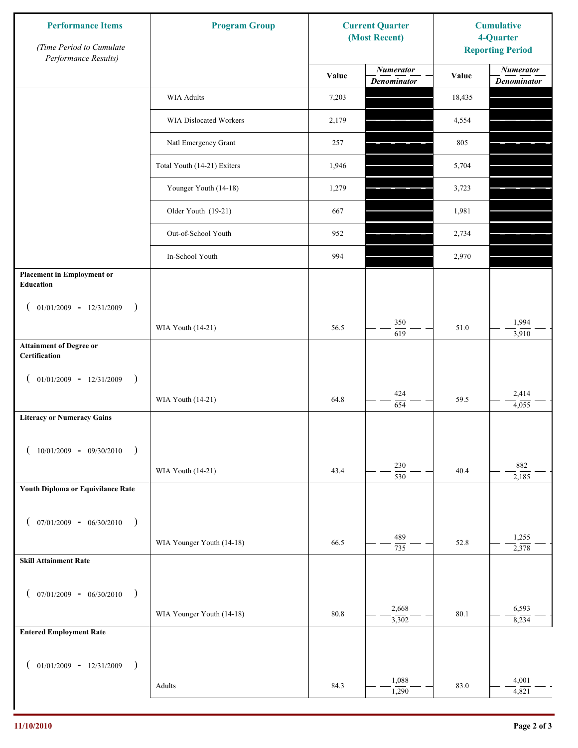| <b>Performance Items</b><br>(Time Period to Cumulate<br>Performance Results) | <b>Program Group</b>          | <b>Current Quarter</b><br>(Most Recent) |                                        | <b>Cumulative</b><br>4-Quarter<br><b>Reporting Period</b> |                                        |
|------------------------------------------------------------------------------|-------------------------------|-----------------------------------------|----------------------------------------|-----------------------------------------------------------|----------------------------------------|
|                                                                              |                               | Value                                   | <b>Numerator</b><br><b>Denominator</b> | Value                                                     | <b>Numerator</b><br><b>Denominator</b> |
|                                                                              | <b>WIA Adults</b>             | 7,203                                   |                                        | 18,435                                                    |                                        |
|                                                                              | <b>WIA Dislocated Workers</b> | 2,179                                   |                                        | 4,554                                                     |                                        |
|                                                                              | Natl Emergency Grant          | 257                                     |                                        | 805                                                       |                                        |
|                                                                              | Total Youth (14-21) Exiters   | 1,946                                   |                                        | 5,704                                                     |                                        |
|                                                                              | Younger Youth (14-18)         | 1,279                                   |                                        | 3,723                                                     |                                        |
|                                                                              | Older Youth (19-21)           | 667                                     |                                        | 1,981                                                     |                                        |
|                                                                              | Out-of-School Youth           | 952                                     |                                        | 2,734                                                     |                                        |
|                                                                              | In-School Youth               | 994                                     |                                        | 2,970                                                     |                                        |
| <b>Placement in Employment or</b><br>Education                               |                               |                                         |                                        |                                                           |                                        |
| $01/01/2009 - 12/31/2009$<br>$\lambda$<br>€                                  |                               |                                         | 350                                    |                                                           | 1,994                                  |
|                                                                              | WIA Youth (14-21)             | 56.5                                    | 619                                    | 51.0                                                      | 3,910                                  |
| <b>Attainment of Degree or</b><br>Certification                              |                               |                                         |                                        |                                                           |                                        |
| $01/01/2009 - 12/31/2009$<br>$\lambda$                                       |                               |                                         |                                        |                                                           |                                        |
|                                                                              | WIA Youth (14-21)             | 64.8                                    | 424<br>654                             | 59.5                                                      | 2,414<br>4,055                         |
| <b>Literacy or Numeracy Gains</b>                                            |                               |                                         |                                        |                                                           |                                        |
| $10/01/2009$ - 09/30/2010                                                    |                               |                                         |                                        |                                                           |                                        |
|                                                                              | WIA Youth (14-21)             | 43.4                                    | 230<br>$\overline{530}$                | 40.4                                                      | 882<br>2,185                           |
| Youth Diploma or Equivilance Rate                                            |                               |                                         |                                        |                                                           |                                        |
| $07/01/2009 - 06/30/2010$<br>$\rightarrow$                                   |                               |                                         |                                        |                                                           |                                        |
|                                                                              | WIA Younger Youth (14-18)     | 66.5                                    | 489<br>735                             | 52.8                                                      | 1,255<br>2,378                         |
| <b>Skill Attainment Rate</b>                                                 |                               |                                         |                                        |                                                           |                                        |
| $07/01/2009 - 06/30/2010$<br>$\lambda$                                       |                               |                                         |                                        |                                                           |                                        |
|                                                                              | WIA Younger Youth (14-18)     | 80.8                                    | 2,668                                  | 80.1                                                      | 6,593                                  |
| <b>Entered Employment Rate</b>                                               |                               |                                         | 3,302                                  |                                                           | 8,234                                  |
|                                                                              |                               |                                         |                                        |                                                           |                                        |
| $01/01/2009$ - $12/31/2009$<br>$\lambda$                                     |                               |                                         | 1,088                                  |                                                           | 4,001                                  |
|                                                                              | Adults                        | 84.3                                    | 1,290                                  | 83.0                                                      | 4,821                                  |